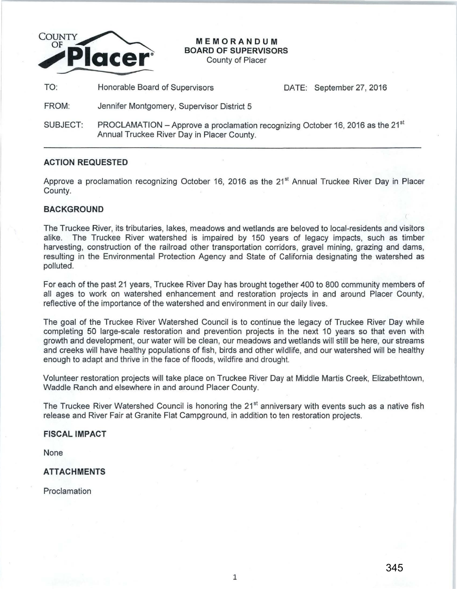

**MEMORANDUM BOARD OF SUPERVISORS**  County of Placer

TO: Honorable Board of Supervisors **DATE:** September 27, 2016

FROM: Jennifer Montgomery, Supervisor District 5

SUBJECT: PROCLAMATION – Approve a proclamation recognizing October 16, 2016 as the  $21<sup>st</sup>$ Annual Truckee River Day in Placer County.

#### **ACTION REQUESTED**

Approve a proclamation recognizing October 16, 2016 as the 21<sup>st</sup> Annual Truckee River Day in Placer County.

# **BACKGROUND**

The Truckee River, its tributaries, lakes, meadows and wetlands are beloved to local-residents and visitors alike. The Truckee River watershed is impaired by 150 years of legacy impacts, such as timber harvesting, construction of the railroad other transportation corridors, gravel mining, grazing and dams, resulting in the Environmental Protection Agency and State of California designating the watershed as polluted.

For each of the past 21 years, Truckee River Day has brought together 400 to 800 community members of all ages to work on watershed enhancement and restoration projects in and around Placer County, reflective of the importance of the watershed and environment in our daily lives.

The goal of the Truckee River Watershed Council is to continue the legacy of Truckee River Day while completing 50 large-scale restoration and prevention projects in the next 10 years so that even with growth and development, our water will be clean, our meadows and wetlands will still be here, our streams and creeks will have healthy populations of fish, birds and other wildlife, and our watershed will be healthy enough to adapt and thrive in the face of floods, wildfire and drought.

Volunteer restoration projects will take place on Truckee River Day at Middle Martis Creek, Elizabethtown, Waddle Ranch and elsewhere in and around Placer County.

The Truckee River Watershed Council is honoring the 21<sup>st</sup> anniversary with events such as a native fish release and River Fair at Granite Flat Campground, in addition to ten restoration projects.

# **FISCAL IMPACT**

None

# **ATTACHMENTS**

Proclamation